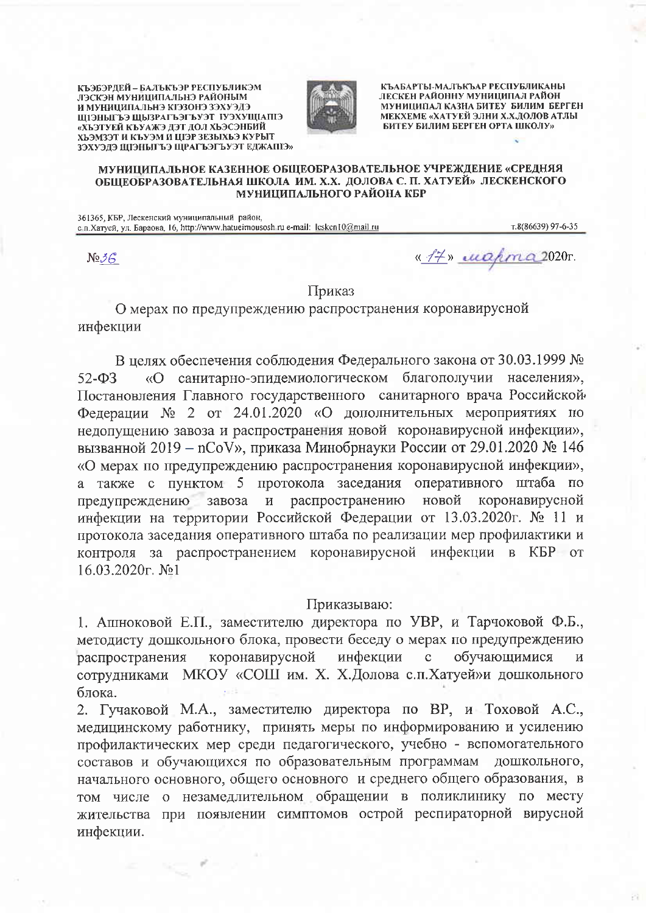КЪЭБЭРДЕЙ - БАЛЪКЪЭР РЕСПУБЛИКЭМ ЛЭСКЭН МУНИЦИПАЛЬНЭ РАЙОНЫМ И МУНИЦИПАЛЬНЭ КІЭЗОНЭ ЗЭХУЭДЭ ШЭНЫГЪЭ ШЫЗРАГЪЭГЪУЭТ ІУЭХУШІАПІЭ «ХЬЭТУЕЙ КЪУАЖЭ ДЭТ ДОЛ ХЬЭСЭНБИЙ ХЬЭМЗЭТ И КЪУЭМ И ЦІЭР ЗЕЗЫХЬЭ КУРЫТ ЗЭХУЭДЭ ЩІЭНЫГЪЭ ЩРАГЪЭГЪУЭТ ЕДЖАПІЭ»



КЪАБАРТЫ-МАЛЪКЪАР РЕСПУБЛИКАНЫ ЛЕСКЕН РАЙОННУ МУНИЦИПАЛ РАЙОН. МУНИЦИПАЛ КАЗНА БИТЕУ БИЛИМ БЕРГЕН МЕКХЕМЕ «ХАТУЕЙ ЭЛНИ Х.Х.ДОЛОВ АТЛЫ БИТЕУ БИЛИМ БЕРГЕН ОРТА ШКОЛУ»

## МУНИЦИПАЛЬНОЕ КАЗЕННОЕ ОБЩЕОБРАЗОВАТЕЛЬНОЕ УЧРЕЖДЕНИЕ «СРЕДНЯЯ ОБЩЕОБРАЗОВАТЕЛЬНАЯ ШКОЛА ИМ. Х.Х. ДОЛОВА С. П. ХАТУЕЙ» ЛЕСКЕНСКОГО МУНИЦИПАЛЬНОГО РАЙОНА КБР

361365. КБР. Лескенский муниципальный район, с. п. Хатуей, ул. Бараова, 16, http://www.hatueimousosh.ru e-mail: lesken10@mail.ru

т.8(86639) 97-6-35

 $N_2$ 3 $\beta$ 

«17» wahra 2020r.

## Приказ

О мерах по предупреждению распространения коронавирусной инфекции

В целях обеспечения соблюдения Федерального закона от 30.03.1999 № «О санитарно-эпидемиологическом благополучии населения»,  $52 - 03$ Постановления Главного государственного санитарного врача Российской Федерации № 2 от 24.01.2020 «О дополнительных мероприятиях по недопущению завоза и распространения новой коронавирусной инфекции», вызванной 2019 - nCoV», приказа Минобрнауки России от 29.01.2020 № 146 «О мерах по предупреждению распространения коронавирусной инфекции», а также с пунктом 5 протокола заседания оперативного штаба по распространению новой коронавирусной предупреждению завоза  $\mathbf{M}$ инфекции на территории Российской Федерации от 13.03.2020г. № 11 и протокола заседания оперативного штаба по реализации мер профилактики и контроля за распространением коронавирусной инфекции в КБР от 16.03.2020<sub> $\Gamma$ </sub> No<sub>1</sub>

## Приказываю:

1. Ашноковой Е.П., заместителю директора по УВР, и Тарчоковой Ф.Б., методисту дошкольного блока, провести беседу о мерах по предупреждению коронавирусной инфекции обучающимися распространения  $\mathbf{C}$  $\overline{\mathbf{M}}$ сотрудниками МКОУ «СОШ им. Х. Х.Долова с.п.Хатуей»и дошкольного блока.

2. Гучаковой М.А., заместителю директора по ВР, и Тоховой А.С., медицинскому работнику, принять меры по информированию и усилению профилактических мер среди педагогического, учебно - вспомогательного составов и обучающихся по образовательным программам дошкольного, начального основного, общего основного и среднего общего образования, в том числе о незамедлительном обращении в поликлинику по месту жительства при появлении симптомов острой респираторной вирусной инфекции.